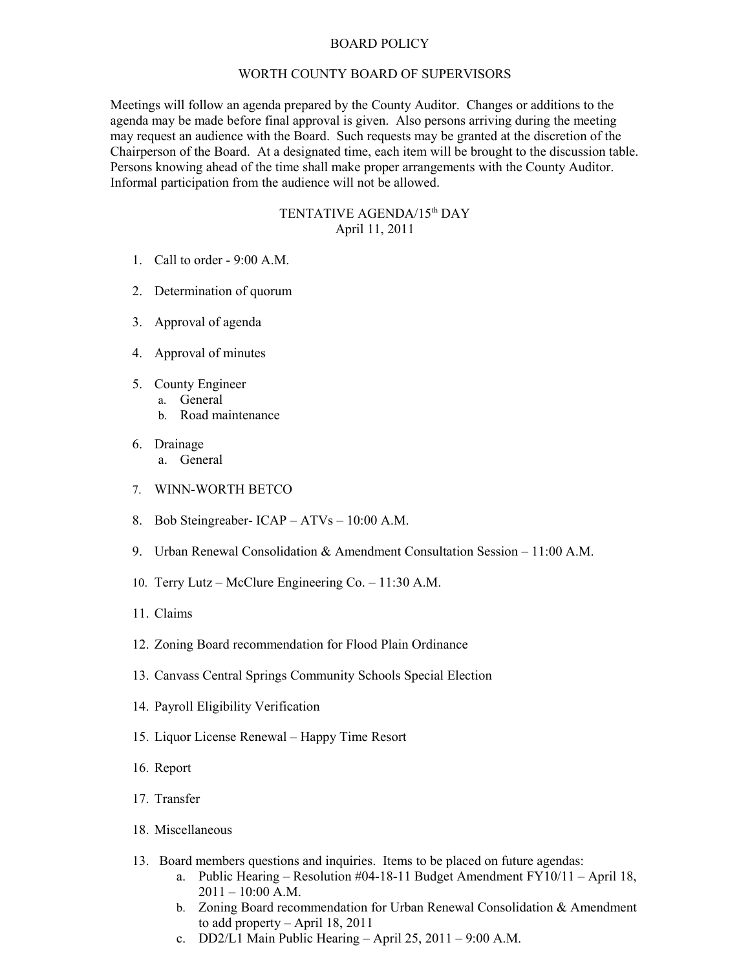## BOARD POLICY

## WORTH COUNTY BOARD OF SUPERVISORS

Meetings will follow an agenda prepared by the County Auditor. Changes or additions to the agenda may be made before final approval is given. Also persons arriving during the meeting may request an audience with the Board. Such requests may be granted at the discretion of the Chairperson of the Board. At a designated time, each item will be brought to the discussion table. Persons knowing ahead of the time shall make proper arrangements with the County Auditor. Informal participation from the audience will not be allowed.

## TENTATIVE AGENDA/15th DAY April 11, 2011

- 1. Call to order 9:00 A.M.
- 2. Determination of quorum
- 3. Approval of agenda
- 4. Approval of minutes
- 5. County Engineer
	- a. General
		- b. Road maintenance
- 6. Drainage
	- a. General
- 7. WINN-WORTH BETCO
- 8. Bob Steingreaber- ICAP ATVs 10:00 A.M.
- 9. Urban Renewal Consolidation & Amendment Consultation Session 11:00 A.M.
- 10. Terry Lutz McClure Engineering Co. 11:30 A.M.
- 11. Claims
- 12. Zoning Board recommendation for Flood Plain Ordinance
- 13. Canvass Central Springs Community Schools Special Election
- 14. Payroll Eligibility Verification
- 15. Liquor License Renewal Happy Time Resort
- 16. Report
- 17. Transfer
- 18. Miscellaneous
- 13. Board members questions and inquiries. Items to be placed on future agendas:
	- a. Public Hearing Resolution #04-18-11 Budget Amendment  $FY10/11 April 18$ ,  $2011 - 10:00$  A.M.
	- b. Zoning Board recommendation for Urban Renewal Consolidation & Amendment to add property – April 18, 2011
	- c. DD2/L1 Main Public Hearing April 25, 2011 9:00 A.M.